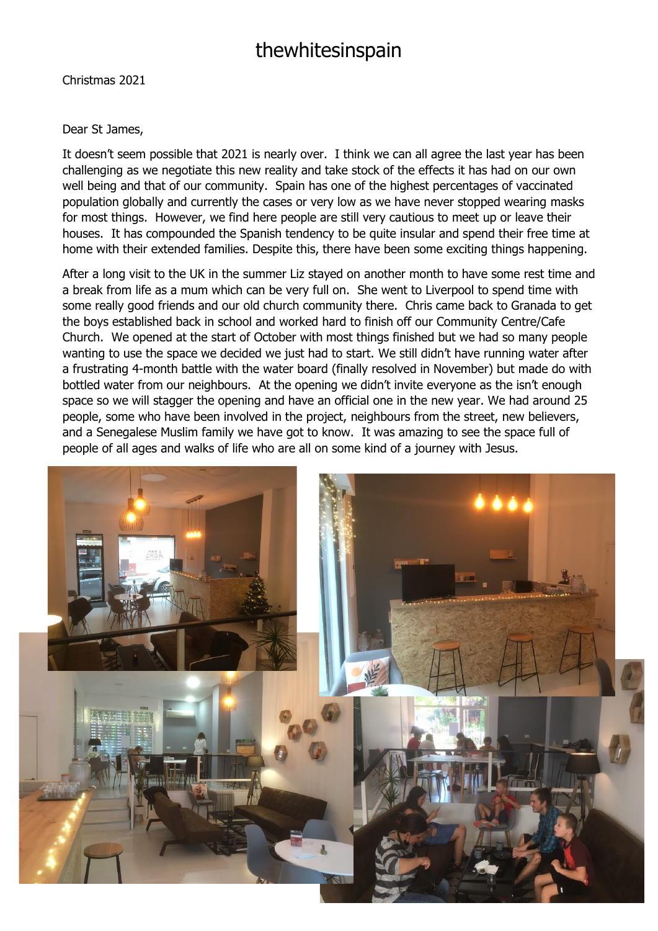## thewhitesinspain

Christmas 2021

## Dear St James,

It doesn't seem possible that 2021 is nearly over. I think we can all agree the last year has been challenging as we negotiate this new reality and take stock of the effects it has had on our own well being and that of our community. Spain has one of the highest percentages of vaccinated population globally and currently the cases or very low as we have never stopped wearing masks for most things. However, we find here people are still very cautious to meet up or leave their houses. It has compounded the Spanish tendency to be quite insular and spend their free time at home with their extended families. Despite this, there have been some exciting things happening.

After a long visit to the UK in the summer Liz stayed on another month to have some rest time and a break from life as a mum which can be very full on. She went to Liverpool to spend time with some really good friends and our old church community there. Chris came back to Granada to get the boys established back in school and worked hard to finish off our Community Centre/Cafe Church. We opened at the start of October with most things finished but we had so many people wanting to use the space we decided we just had to start. We still didn't have running water after a frustrating 4-month battle with the water board (finally resolved in November) but made do with bottled water from our neighbours. At the opening we didn't invite everyone as the isn't enough space so we will stagger the opening and have an official one in the new year. We had around 25 people, some who have been involved in the project, neighbours from the street, new believers, and a Senegalese Muslim family we have got to know. It was amazing to see the space full of people of all ages and walks of life who are all on some kind of a journey with Jesus.

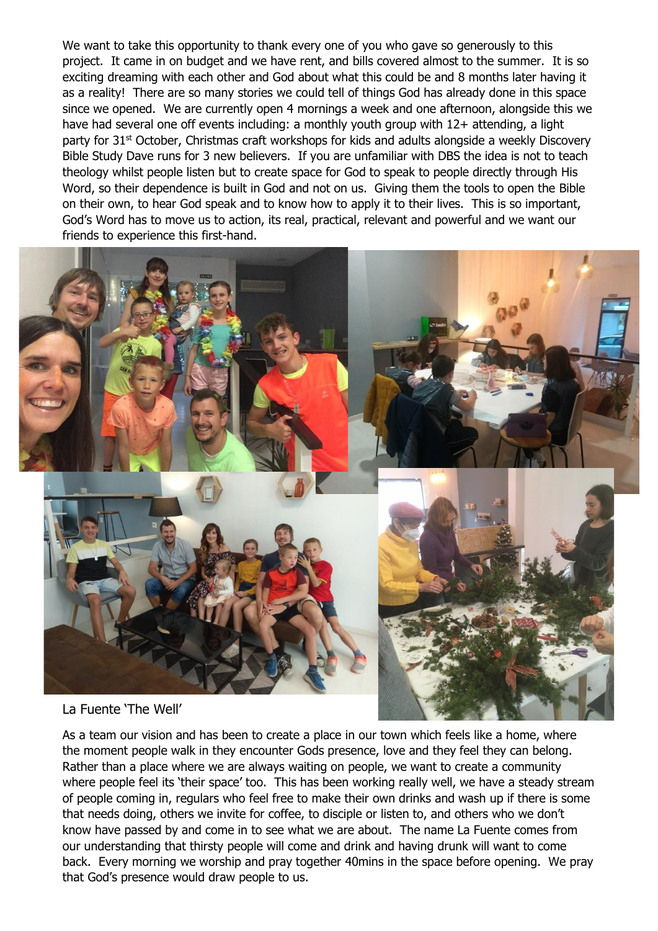We want to take this opportunity to thank every one of you who gave so generously to this project. It came in on budget and we have rent, and bills covered almost to the summer. It is so exciting dreaming with each other and God about what this could be and 8 months later having it as a reality! There are so many stories we could tell of things God has already done in this space since we opened. We are currently open 4 mornings a week and one afternoon, alongside this we have had several one off events including: a monthly youth group with 12+ attending, a light party for 31<sup>st</sup> October, Christmas craft workshops for kids and adults alongside a weekly Discovery Bible Study Dave runs for 3 new believers. If you are unfamiliar with DBS the idea is not to teach theology whilst people listen but to create space for God to speak to people directly through His Word, so their dependence is built in God and not on us. Giving them the tools to open the Bible on their own, to hear God speak and to know how to apply it to their lives. This is so important, God's Word has to move us to action, its real, practical, relevant and powerful and we want our friends to experience this first-hand.



## La Fuente 'The Well'

As a team our vision and has been to create a place in our town which feels like a home, where the moment people walk in they encounter Gods presence, love and they feel they can belong. Rather than a place where we are always waiting on people, we want to create a community where people feel its 'their space' too. This has been working really well, we have a steady stream of people coming in, regulars who feel free to make their own drinks and wash up if there is some that needs doing, others we invite for coffee, to disciple or listen to, and others who we don't know have passed by and come in to see what we are about. The name La Fuente comes from our understanding that thirsty people will come and drink and having drunk will want to come back. Every morning we worship and pray together 40mins in the space before opening. We pray that God's presence would draw people to us.